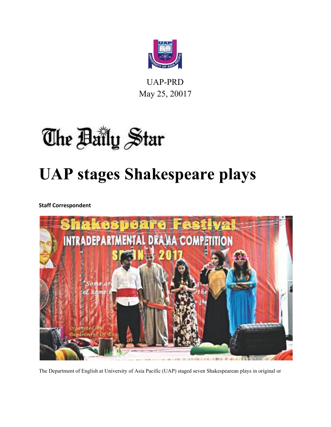

UAP-PRD May 25, 20017

# The Baily Star **UAP stages Shakespeare plays**

**Staff Correspondent**



The Department of English at University of Asia Pacific (UAP) staged seven Shakespearean plays in original or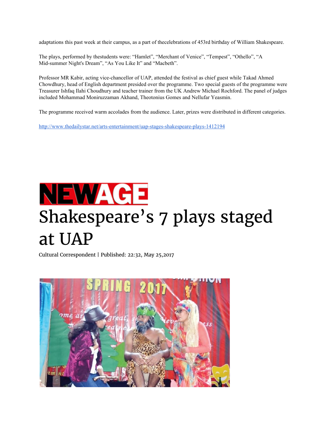adaptations this past week at their campus, as a part of thecelebrations of 453rd birthday of William Shakespeare.

The plays, performed by thestudents were: "Hamlet", "Merchant of Venice", "Tempest", "Othello", "A Mid-summer Night's Dream", "As You Like It" and "Macbeth".

Professor MR Kabir, acting vice-chancellor of UAP, attended the festival as chief guest while Takad Ahmed Chowdhury, head of English department presided over the programme. Two special guests of the programme were Treasurer Ishfaq Ilahi Choudhury and teacher trainer from the UK Andrew Michael Rochford. The panel of judges included Mohammad Moniruzzaman Akhand, Theotonius Gomes and Nellufar Yeasmin.

The programme received warm accolades from the audience. Later, prizes were distributed in different categories.

<http://www.thedailystar.net/arts-entertainment/uap-stages-shakespeare-plays-1412194>

## NEWAGE Shakespeare's 7 plays staged at UAP

[Cultural Correspondent |](http://www.newagebd.net/credit/Cultural%20Correspondent) Published: 22:32, May 25,2017

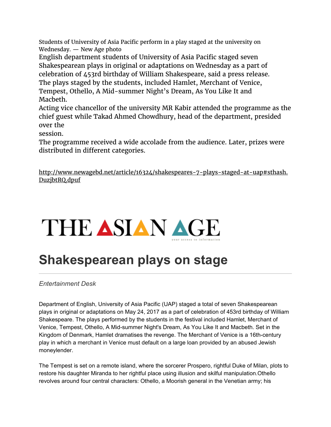Students of University of Asia Pacific perform in a play staged at the university on Wednesday. — New Age photo

English department students of University of Asia Pacific staged seven Shakespearean plays in original or adaptations on Wednesday as a part of celebration of 453rd birthday of William Shakespeare, said a press release. The plays staged by the students, included Hamlet, Merchant of Venice, Tempest, Othello, A Mid-summer Night's Dream, As You Like It and Macbeth.

Acting vice chancellor of the university MR Kabir attended the programme as the chief guest while Takad Ahmed Chowdhury, head of the department, presided over the

session.

The programme received a wide accolade from the audience. Later, prizes were distributed in different categories.

[http://www.newagebd.net/article/16324/shakespeares-7-plays-staged-at-uap#sthash.](http://www.newagebd.net/article/16324/shakespeares-7-plays-staged-at-uap#sthash.DuzjbtRQ.dpuf) [DuzjbtRQ.dpuf](http://www.newagebd.net/article/16324/shakespeares-7-plays-staged-at-uap#sthash.DuzjbtRQ.dpuf)



### **Shakespearean plays on stage**

*Entertainment Desk*

Department of English, University of Asia Pacific (UAP) staged a total of seven Shakespearean plays in original or adaptations on May 24, 2017 as a part of celebration of 453rd birthday of William Shakespeare. The plays performed by the students in the festival included Hamlet, Merchant of Venice, Tempest, Othello, A Mid-summer Night's Dream, As You Like It and Macbeth. Set in the Kingdom of Denmark, Hamlet dramatises the revenge. The Merchant of Venice is a 16th-century play in which a merchant in Venice must default on a large loan provided by an abused Jewish moneylender.

The Tempest is set on a remote island, where the sorcerer Prospero, rightful Duke of Milan, plots to restore his daughter Miranda to her rightful place using illusion and skilful manipulation.Othello revolves around four central characters: Othello, a Moorish general in the Venetian army; his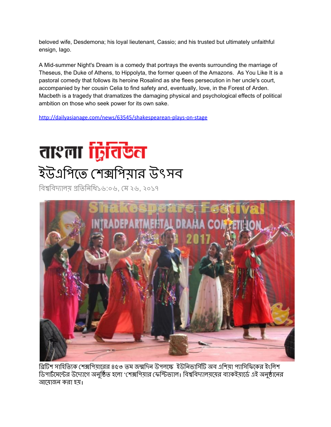beloved wife, Desdemona; his loyal lieutenant, Cassio; and his trusted but ultimately unfaithful ensign, Iago.

A Mid-summer Night's Dream is a comedy that portrays the events surrounding the marriage of Theseus, the Duke of Athens, to Hippolyta, the former queen of the Amazons. As You Like It is a pastoral comedy that follows its heroine Rosalind as she flees persecution in her uncle's court, accompanied by her cousin Celia to find safety and, eventually, love, in the Forest of Arden. Macbeth is a tragedy that dramatizes the damaging physical and psychological effects of political ambition on those who seek power for its own sake.

<http://dailyasianage.com/news/63545/shakespearean-plays-on-stage>

### ताश्ला द्वितिखे**त** ইউএিপেত শিপয়ার উৎসব

বিশ্ববিদ্যালয় প্ৰতিনিধি১৬:০৬, মে ২৬, ২০১৭



ব্রিটিশ সাহিত্যিক শেক্সপিয়ারের ৪৫৩ তম জন্মদিন উপলক্ষে ইউনিভার্সিটি অব এশিয়া প্যাসিফিকের ইংলিশ ডিপার্টমেন্টের উদ্যোগে অনুষ্ঠিত হলো 'শেক্সপিয়ার ফেস্টিভ্যাল। বিশ্ববিদ্যালয়য়ের ব্যাকইয়ার্ডে এই অনুষ্ঠানের আেয়াজন করা হয়।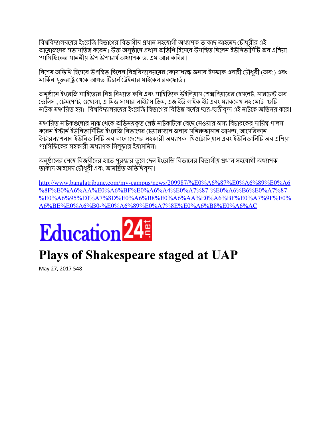বিশ্ববিদ্যালয়য়ের ইংরেজি বিভাগের বিভাগীয় প্রধান সহযোগী অধ্যাপক তাকাদ আহমেদ চৌধুরীর এই আমোজনের সভাপতিত্ব করেন। উক্ত অনুষ্ঠানে প্রধান অতিথি হিসেবে উপস্থিত ছিলেন ইউনিভার্সিটি অব এশিয়া প্যাসিফিকের মাননীয় উপ উপাচার্য অধ্যাপক ড. এম আর কবির।

বিশেষ অতিথি হিসেবে উপস্থিত ছিলেন বিশ্ববিদ্যালয়য়ের কোষাধ্যক্ষ জনাব ইসফাক এলাহী চৌধুরী (অব:) এবং মার্কিন যুক্তরাষ্ট্র থেকে আগত টিচার্স ট্রেইনার মাইকেল রকফোর্ড।

অনুষ্ঠানে ইংরেজি সাহিত্যের বিশ্ব বিখ্যাত কবি এবং সাহিত্যিক উইলিয়াম শেক্সপিয়ারের হেমলেট, মারচেন্ট অব ভেনিস , টেমপেস্ট, ওথেলো, এ মিড সামার নাইট'স ড্রিম, এজ ইউ লাইক ইট এবং ম্যাকবেথ সহ মোট ৮টি নাটক মঞ্চায়িত হয়। বিশ্ববিদ্যালয়য়ের ইংরেজি বিভাগের বিভিন্ন বর্ষের ছাত্র-ছাত্রীবৃন্দ এই নাটকে অভিনয় করে।

মঞ্চায়িত নাটকগুলোর মাঝ থেকে অভিনয়কৃত শ্রেষ্ঠ নাটকটিকে বেছে নেওয়ার জন্য বিচারকের দায়িত্ব পালন করেন ইস্টার্ন ইউনিভার্সিটির ইংরেজি বিভাগের চেয়ারম্যান জনাব মনিরুজামান আখন্দ, আমেরিকান ইন্টারন্যাশনাল ইউনিভার্সিটি অব বাংলাদেশের সহকারী অধ্যাপক থিওটোনিয়াস এবং ইউনিভার্সিটি অব এশিয়া প্যাসিফিকের সহকারী অধ্যাপক নিলফার ইয়াসমিন।

অনুষ্ঠানের শেষে বিজয়ীদের হাতে পুরস্কার তুলে দেন ইংরেজি বিভাগের বিভাগীয় প্রধান সহযোগী অধ্যাপক তাকাদ আহমেদ চৌধুরী এবং আমন্ত্রিত অতিথিবৃন্দ।

[http://www.banglatribune.com/my-campus/news/209987/%E0%A6%87%E0%A6%89%E0%A6](http://www.banglatribune.com/my-campus/news/209987/%E0%A6%87%E0%A6%89%E0%A6%8F%E0%A6%AA%E0%A6%BF%E0%A6%A4%E0%A7%87-%E0%A6%B6%E0%A7%87%E0%A6%95%E0%A7%8D%E0%A6%B8%E0%A6%AA%E0%A6%BF%E0%A7%9F%E0%A6%BE%E0%A6%B0-%E0%A6%89%E0%A7%8E%E0%A6%B8%E0%A6%AC) [%8F%E0%A6%AA%E0%A6%BF%E0%A6%A4%E0%A7%87-%E0%A6%B6%E0%A7%87](http://www.banglatribune.com/my-campus/news/209987/%E0%A6%87%E0%A6%89%E0%A6%8F%E0%A6%AA%E0%A6%BF%E0%A6%A4%E0%A7%87-%E0%A6%B6%E0%A7%87%E0%A6%95%E0%A7%8D%E0%A6%B8%E0%A6%AA%E0%A6%BF%E0%A7%9F%E0%A6%BE%E0%A6%B0-%E0%A6%89%E0%A7%8E%E0%A6%B8%E0%A6%AC) [%E0%A6%95%E0%A7%8D%E0%A6%B8%E0%A6%AA%E0%A6%BF%E0%A7%9F%E0%](http://www.banglatribune.com/my-campus/news/209987/%E0%A6%87%E0%A6%89%E0%A6%8F%E0%A6%AA%E0%A6%BF%E0%A6%A4%E0%A7%87-%E0%A6%B6%E0%A7%87%E0%A6%95%E0%A7%8D%E0%A6%B8%E0%A6%AA%E0%A6%BF%E0%A7%9F%E0%A6%BE%E0%A6%B0-%E0%A6%89%E0%A7%8E%E0%A6%B8%E0%A6%AC) [A6%BE%E0%A6%B0-%E0%A6%89%E0%A7%8E%E0%A6%B8%E0%A6%AC](http://www.banglatribune.com/my-campus/news/209987/%E0%A6%87%E0%A6%89%E0%A6%8F%E0%A6%AA%E0%A6%BF%E0%A6%A4%E0%A7%87-%E0%A6%B6%E0%A7%87%E0%A6%95%E0%A7%8D%E0%A6%B8%E0%A6%AA%E0%A6%BF%E0%A7%9F%E0%A6%BE%E0%A6%B0-%E0%A6%89%E0%A7%8E%E0%A6%B8%E0%A6%AC)

## **Education**<sup>24</sup>

### **Plays of Shakespeare staged at UAP**

May 27, 2017 548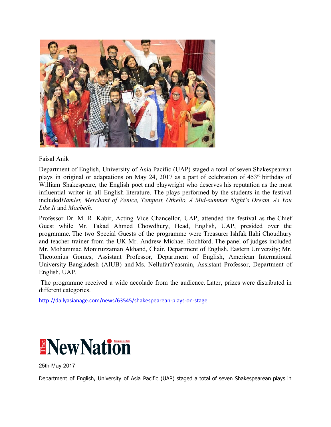

Faisal Anik

Department of English, University of Asia Pacific (UAP) staged a total of seven Shakespearean plays in original or adaptations on May 24, 2017 as a part of celebration of 453<sup>rd</sup> birthday of William Shakespeare, the English poet and playwright who deserves his reputation as the most influential writer in all English literature. The plays performed by the students in the festival included*Hamlet, Merchant of Venice, Tempest, Othello, A Mid-summer Night's Dream, As You Like It* and *Macbeth*.

Professor Dr. M. R. Kabir, Acting Vice Chancellor, UAP, attended the festival as the Chief Guest while Mr. Takad Ahmed Chowdhury, Head, English, UAP, presided over the programme. The two Special Guests of the programme were Treasurer Ishfak Ilahi Choudhury and teacher trainer from the UK Mr. Andrew Michael Rochford. The panel of judges included Mr. Mohammad Moniruzzaman Akhand, Chair, Department of English, Eastern University; Mr. Theotonius Gomes, Assistant Professor, Department of English, American International University-Bangladesh (AIUB) and Ms. NellufarYeasmin, Assistant Professor, Department of English, UAP.

 The programme received a wide accolade from the audience. Later, prizes were distributed in different categories.

<http://dailyasianage.com/news/63545/shakespearean-plays-on-stage>



25th-May-2017

Department of English, University of Asia Pacific (UAP) staged a total of seven Shakespearean plays in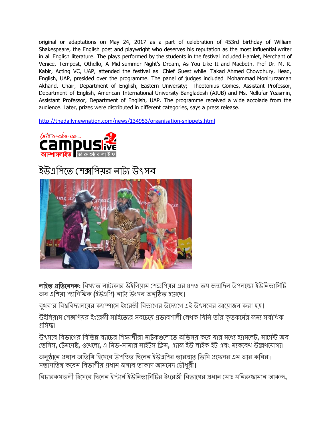original or adaptations on May 24, 2017 as a part of celebration of 453rd birthday of William Shakespeare, the English poet and playwright who deserves his reputation as the most influential writer in all English literature. The plays performed by the students in the festival included Hamlet, Merchant of Venice, Tempest, Othello, A Mid-summer Night's Dream, As You Like It and Macbeth. Prof Dr. M. R. Kabir, Acting VC, UAP, attended the festival as Chief Guest while Takad Ahmed Chowdhury, Head, English, UAP, presided over the programme. The panel of judges included Mohammad Moniruzzaman Akhand, Chair, Department of English, Eastern University; Theotonius Gomes, Assistant Professor, Department of English, American International University-Bangladesh (AIUB) and Ms. Nellufar Yeasmin, Assistant Professor, Department of English, UAP. The programme received a wide accolade from the audience. Later, prizes were distributed in different categories, says a press release.

<http://thedailynewnation.com/news/134953/organisation-snippets.html>



#### ইউএপিতে শেক্সপিয়র নাট্য উৎসব



<mark>লাইভ প্রতিবেদক:</mark> বিখ্যাত নাট্যকার উইলিয়াম শেক্সপিয়র এর ৪৭৩ তম জন্মদিন উপলক্ষ্যে ইউনিভার্সিটি অব এিশয়া পািসিফক **(**ইউএিপ**)** নাট উংসব অনিুত হেয়েছ।

বুধবার বিশ্ববিদ্যালয়ের ক্যাম্পাসে ইংরেজী বিভাগের উদ্যোগে এই উৎসবের আয়োজন করা হয়।

উইলিয়াম শেক্সপিয়র ইংরেজী সাহিত্যের সবচেয়ে প্রভাবশালী লেখক যিনি তাঁর কৃতকর্মের জন্য সর্বাধিক গ্ৰসিদ্ধ।

উৎসবে বিভাগের বিভিন্ন ব্যাচের শিক্ষার্থীরা নাটকগুলোতে অভিনয় করে যার মধ্যে হ্যামলেট, মার্সেন্ট অব ভিনস**,** টমেপ**,** ওেথেলা**,** এ িমড**-**সামার নাইটস িম**,** এাজ ইউ লাইক ইট এবং মকেবথ উেখেযাগ।

অনুষ্ঠানে প্রধান অতিথি হিসেবে উপস্থিত ছিলেন ইউএপির ভারপ্রাপ্ত ভিসি প্রফেসর এম আর কবির। সভাপতিত্ব করেন বিভাগীয় প্রধান জনাব তাকাদ আমমেদ চৌধুরী।

বিচারকমন্ডলী হিসেবে ছিলেন ইস্টার্ন ইউনিভার্সিটির ইংরেজী বিভাগের প্রধান মোঃ মনিরুজামান আকন্<mark>দ.</mark>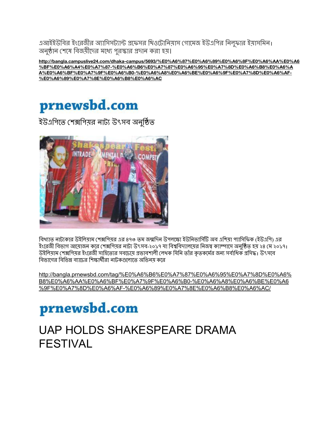এআইইউবির ইংরেজীর অ্যাসিসট্যান্ট প্রফেসর থিওটোনিয়াস গোমেজ ইউএপির নিলুফার ইয়াসমিন। অনুষ্ঠান শেষে বিজয়ীদের মধ্যে পুরস্কার প্রদান করা হয়।

**[http://bangla.campuslive24.com/dhaka-campus/5693/%E0%A6%87%E0%A6%89%E0%A6%8F%E0%A6%AA%E0%A6](http://bangla.campuslive24.com/dhaka-campus/5693/%E0%A6%87%E0%A6%89%E0%A6%8F%E0%A6%AA%E0%A6%BF%E0%A6%A4%E0%A7%87-%E0%A6%B6%E0%A7%87%E0%A6%95%E0%A7%8D%E0%A6%B8%E0%A6%AA%E0%A6%BF%E0%A7%9F%E0%A6%B0-%E0%A6%A8%E0%A6%BE%E0%A6%9F%E0%A7%8D%E0%A6%AF-%E0%A6%89%E0%A7%8E%E0%A6%B8%E0%A6%AC) [%BF%E0%A6%A4%E0%A7%87-%E0%A6%B6%E0%A7%87%E0%A6%95%E0%A7%8D%E0%A6%B8%E0%A6%A](http://bangla.campuslive24.com/dhaka-campus/5693/%E0%A6%87%E0%A6%89%E0%A6%8F%E0%A6%AA%E0%A6%BF%E0%A6%A4%E0%A7%87-%E0%A6%B6%E0%A7%87%E0%A6%95%E0%A7%8D%E0%A6%B8%E0%A6%AA%E0%A6%BF%E0%A7%9F%E0%A6%B0-%E0%A6%A8%E0%A6%BE%E0%A6%9F%E0%A7%8D%E0%A6%AF-%E0%A6%89%E0%A7%8E%E0%A6%B8%E0%A6%AC) [A%E0%A6%BF%E0%A7%9F%E0%A6%B0-%E0%A6%A8%E0%A6%BE%E0%A6%9F%E0%A7%8D%E0%A6%AF-](http://bangla.campuslive24.com/dhaka-campus/5693/%E0%A6%87%E0%A6%89%E0%A6%8F%E0%A6%AA%E0%A6%BF%E0%A6%A4%E0%A7%87-%E0%A6%B6%E0%A7%87%E0%A6%95%E0%A7%8D%E0%A6%B8%E0%A6%AA%E0%A6%BF%E0%A7%9F%E0%A6%B0-%E0%A6%A8%E0%A6%BE%E0%A6%9F%E0%A7%8D%E0%A6%AF-%E0%A6%89%E0%A7%8E%E0%A6%B8%E0%A6%AC) [%E0%A6%89%E0%A7%8E%E0%A6%B8%E0%A6%AC](http://bangla.campuslive24.com/dhaka-campus/5693/%E0%A6%87%E0%A6%89%E0%A6%8F%E0%A6%AA%E0%A6%BF%E0%A6%A4%E0%A7%87-%E0%A6%B6%E0%A7%87%E0%A6%95%E0%A7%8D%E0%A6%B8%E0%A6%AA%E0%A6%BF%E0%A7%9F%E0%A6%B0-%E0%A6%A8%E0%A6%BE%E0%A6%9F%E0%A7%8D%E0%A6%AF-%E0%A6%89%E0%A7%8E%E0%A6%B8%E0%A6%AC)**



ইউএপিতে শেক্সপিয়র নাট্য উৎসব অনুষ্ঠিত



বিখ্যাত নাট্যকার উইলিয়াম শেক্সপিয়র এর ৪৭৩ তম জন্মদিন উপলক্ষ্যে ইউনিভার্সিটি অব এশিয়া প্যাসিফিক (ইউএপি) এর ইংরেজী বিভাগ আয়োজন করে শেক্সপিয়র নাট্য উৎসব-২০১৭ যা বিশ্ববিদ্যালয়ের নিজস্ব ক্যাম্পাসে অনুষ্ঠিত হয় ২৪ মে ২০১৭। উইলিয়াম শেক্সপিয়র ইংরেজী সাহিত্যের সবচেয়ে প্রভাবশালী লেখক যিনি তাঁর কৃতকর্মের জন্য সর্বাধিক প্রসিদ্ধ। উৎসবে বিভাগের বিভিন্ন ব্যাচের শিক্ষার্থীরা নাটকগুলোতে অভিনয় করে

[http://bangla.prnewsbd.com/tag/%E0%A6%B6%E0%A7%87%E0%A6%95%E0%A7%8D%E0%A6%](http://bangla.prnewsbd.com/tag/%E0%A6%B6%E0%A7%87%E0%A6%95%E0%A7%8D%E0%A6%B8%E0%A6%AA%E0%A6%BF%E0%A7%9F%E0%A6%B0-%E0%A6%A8%E0%A6%BE%E0%A6%9F%E0%A7%8D%E0%A6%AF-%E0%A6%89%E0%A7%8E%E0%A6%B8%E0%A6%AC/) [B8%E0%A6%AA%E0%A6%BF%E0%A7%9F%E0%A6%B0-%E0%A6%A8%E0%A6%BE%E0%A6](http://bangla.prnewsbd.com/tag/%E0%A6%B6%E0%A7%87%E0%A6%95%E0%A7%8D%E0%A6%B8%E0%A6%AA%E0%A6%BF%E0%A7%9F%E0%A6%B0-%E0%A6%A8%E0%A6%BE%E0%A6%9F%E0%A7%8D%E0%A6%AF-%E0%A6%89%E0%A7%8E%E0%A6%B8%E0%A6%AC/) [%9F%E0%A7%8D%E0%A6%AF-%E0%A6%89%E0%A7%8E%E0%A6%B8%E0%A6%AC/](http://bangla.prnewsbd.com/tag/%E0%A6%B6%E0%A7%87%E0%A6%95%E0%A7%8D%E0%A6%B8%E0%A6%AA%E0%A6%BF%E0%A7%9F%E0%A6%B0-%E0%A6%A8%E0%A6%BE%E0%A6%9F%E0%A7%8D%E0%A6%AF-%E0%A6%89%E0%A7%8E%E0%A6%B8%E0%A6%AC/)

### prnewsbd.com

#### UAP HOLDS SHAKESPEARE DRAMA FESTIVAL